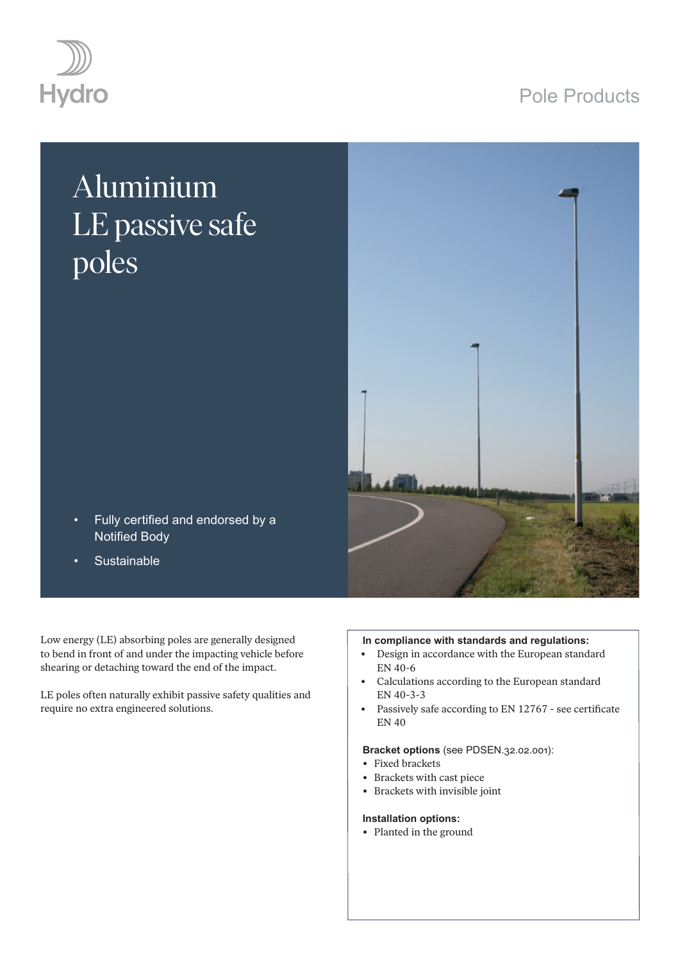## Pole Products



# Aluminium LE passive safe poles



- Fully certified and endorsed by a Notified Body
- **Sustainable**

Low energy (LE) absorbing poles are generally designed to bend in front of and under the impacting vehicle before shearing or detaching toward the end of the impact.

LE poles often naturally exhibit passive safety qualities and require no extra engineered solutions.

#### **In compliance with standards and regulations:**

- Design in accordance with the European standard EN 40-6
- Calculations according to the European standard EN 40-3-3
- Passively safe according to EN 12767 see certificate EN 40

#### **Bracket options** (see PDSEN.32.02.001):

- Fixed brackets
- Brackets with cast piece
- Brackets with invisible joint

#### **Installation options:**

• Planted in the ground